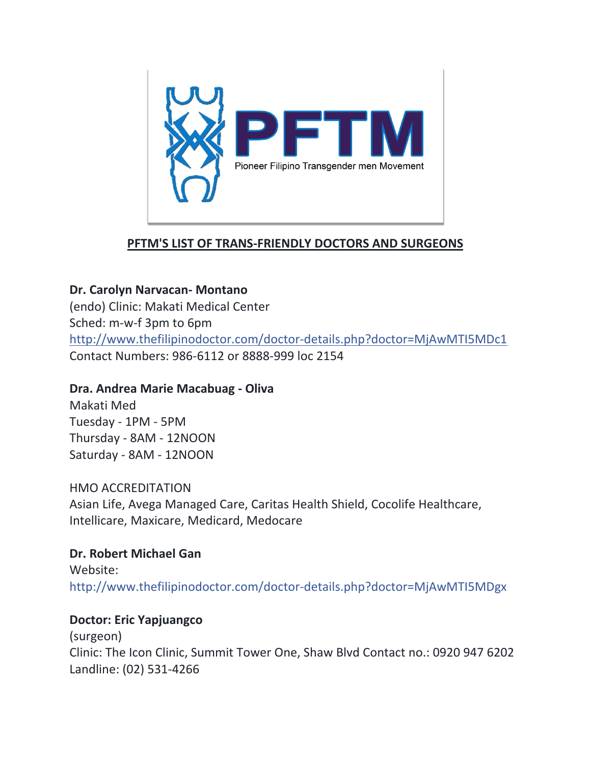

## **PFTM'S LIST OF TRANS-FRIENDLY DOCTORS AND SURGEONS**

## **Dr. Carolyn Narvacan- Montano**

(endo) Clinic: Makati Medical Center Sched: m-w-f 3pm to 6pm <http://www.thefilipinodoctor.com/doctor-details.php?doctor=MjAwMTI5MDc1> Contact Numbers: 986-6112 or 8888-999 loc 2154

## **Dra. Andrea Marie Macabuag - Oliva**

Makati Med Tuesday - 1PM - 5PM Thursday - 8AM - 12NOON Saturday - 8AM - 12NOON

### HMO ACCREDITATION

Asian Life, Avega Managed Care, Caritas Health Shield, Cocolife Healthcare, Intellicare, Maxicare, Medicard, Medocare

# **Dr. Robert Michael Gan**

Website: [http://www.thefilipinodoctor.com/doctor-details.php?doctor=MjAwMTI5MDgx](https://l.facebook.com/l.php?u=http%3A%2F%2Fwww.thefilipinodoctor.com%2Fdoctor-details.php%3Fdoctor%3DMjAwMTI5MDgx&h=ATML9lsN5Reuffu3JZy5kDWcnQhVYhV3d_FdWk3rYaPCdGmD4-jVFmTAGYUBkjtyuM6LErsyzxFJkU_UCZ0zr1F-2tMDs-5aXq__HQahGa1dvi9rHfId5cupElVo_3l9E_8Z-zJITojk&s=1)

## **Doctor: Eric Yapjuangco**

(surgeon) Clinic: The Icon Clinic, Summit Tower One, Shaw Blvd Contact no.: 0920 947 6202 Landline: (02) 531-4266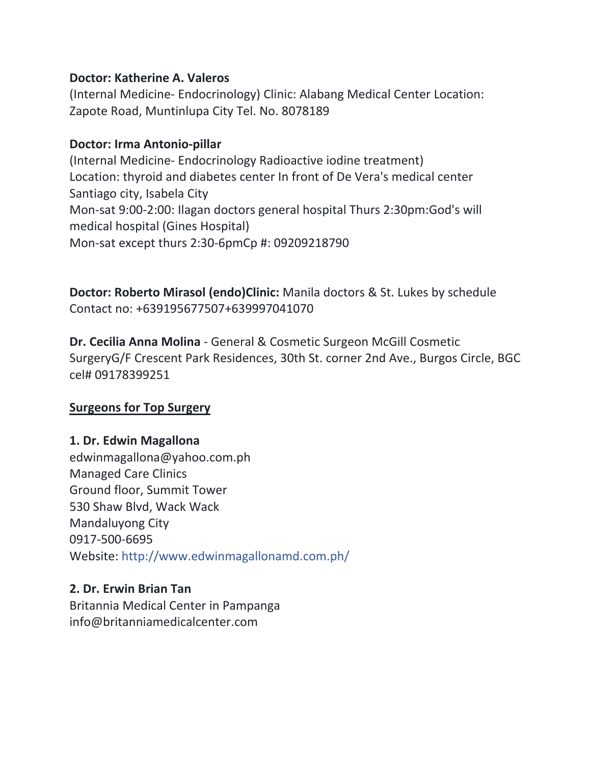#### **Doctor: Katherine A. Valeros**

(Internal Medicine- Endocrinology) Clinic: Alabang Medical Center Location: Zapote Road, Muntinlupa City Tel. No. 8078189

#### **Doctor: Irma Antonio-pillar**

(Internal Medicine- Endocrinology Radioactive iodine treatment) Location: thyroid and diabetes center In front of De Vera's medical center Santiago city, Isabela City Mon-sat 9:00-2:00: Ilagan doctors general hospital Thurs 2:30pm:God's will medical hospital (Gines Hospital) Mon-sat except thurs 2:30-6pmCp #: 09209218790

**Doctor: Roberto Mirasol (endo)Clinic:** Manila doctors & St. Lukes by schedule Contact no: +639195677507+639997041070

**Dr. Cecilia Anna Molina** - General & Cosmetic Surgeon McGill Cosmetic SurgeryG/F Crescent Park Residences, 30th St. corner 2nd Ave., Burgos Circle, BGC cel# 09178399251

### **Surgeons for Top Surgery**

### **1. Dr. Edwin Magallona**

edwinmagallona@yahoo.com.ph Managed Care Clinics Ground floor, Summit Tower 530 Shaw Blvd, Wack Wack Mandaluyong City 0917-500-6695 Website: <http://www.edwinmagallonamd.com.ph/>

#### **2. Dr. Erwin Brian Tan**

Britannia Medical Center in Pampanga info@britanniamedicalcenter.com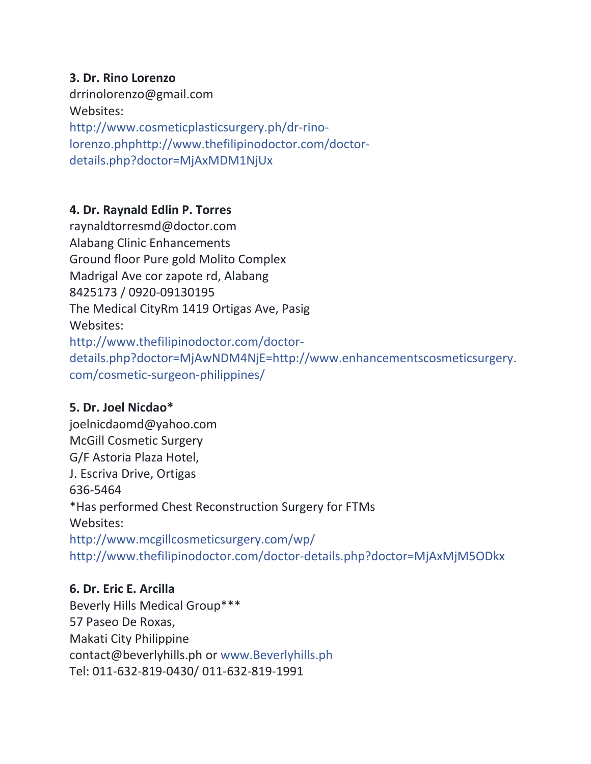#### **3. Dr. Rino Lorenzo**

drrinolorenzo@gmail.com Websites: [http://www.cosmeticplasticsurgery.ph/dr-rino](http://www.cosmeticplasticsurgery.ph/dr-rino-lorenzo.phphttp:/www.thefilipinodoctor.com/doctor-details.php?doctor=MjAxMDM1NjUx)[lorenzo.phphttp://www.thefilipinodoctor.com/doctor](http://www.cosmeticplasticsurgery.ph/dr-rino-lorenzo.phphttp:/www.thefilipinodoctor.com/doctor-details.php?doctor=MjAxMDM1NjUx)[details.php?doctor=MjAxMDM1NjUx](http://www.cosmeticplasticsurgery.ph/dr-rino-lorenzo.phphttp:/www.thefilipinodoctor.com/doctor-details.php?doctor=MjAxMDM1NjUx)

### **4. Dr. Raynald Edlin P. Torres**

raynaldtorresmd@doctor.com Alabang Clinic Enhancements Ground floor Pure gold Molito Complex Madrigal Ave cor zapote rd, Alabang 8425173 / 0920-09130195 The Medical CityRm 1419 Ortigas Ave, Pasig Websites: [http://www.thefilipinodoctor.com/doctor](http://www.thefilipinodoctor.com/doctor-details.php?doctor=MjAwNDM4NjE=)[details.php?doctor=MjAwNDM4NjE=](http://www.thefilipinodoctor.com/doctor-details.php?doctor=MjAwNDM4NjE=)[http://www.enhancementscosmeticsurgery.](http://www.enhancementscosmeticsurgery.com/cosmetic-surgeon-philippines/) [com/cosmetic-surgeon-philippines/](http://www.enhancementscosmeticsurgery.com/cosmetic-surgeon-philippines/)

### **5. Dr. Joel Nicdao\***

joelnicdaomd@yahoo.com McGill Cosmetic Surgery G/F Astoria Plaza Hotel, J. Escriva Drive, Ortigas 636-5464 \*Has performed Chest Reconstruction Surgery for FTMs Websites: <http://www.mcgillcosmeticsurgery.com/wp/> <http://www.thefilipinodoctor.com/doctor-details.php?doctor=MjAxMjM5ODkx>

### **6. Dr. Eric E. Arcilla**

Beverly Hills Medical Group\*\*\* 57 Paseo De Roxas, Makati City Philippine contact@beverlyhills.ph or [www.Beverlyhills.ph](https://l.facebook.com/l.php?u=http%3A%2F%2Fwww.Beverlyhills.ph%2F&h=ATNkQXLMOIxu-nQHjnYyJ8a8Ki8LzvVPybVRsYi2DIPyIXU6Mfx5atrjoqWSstJykqcvxyleePRvLo0ncI4Lgt6NgXAGUbrWTfBsveYnP6lI-CJyzzsK6nkNsqxwxL3_EsqgK-4il-xk&s=1) Tel: 011-632-819-0430/ 011-632-819-1991